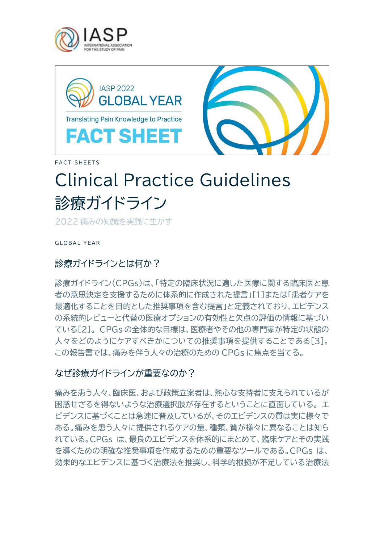



FACT SHEETS

# Clinical Practice Guidelines 診療ガイドライン

2022 痛みの知識を実践に生かす

GLOBAL YEAR

#### 診療ガイドラインとは何か?

診療ガイドライン(CPGs)は、「特定の臨床状況に適した医療に関する臨床医と患 者の意思決定を支援するために体系的に作成された提言」[1]または「患者ケアを 最適化することを目的とした推奨事項を含む提言」と定義されており、エビデンス の系統的レビューと代替の医療オプションの有効性と欠点の評価の情報に基づい ている[2]。 CPGs の全体的な目標は、医療者やその他の専門家が特定の状態の 人々をどのようにケアすべきかについての推奨事項を提供することである[3]。 この報告書では、痛みを伴う人々の治療のための CPGs に焦点を当てる。

#### なぜ診療ガイドラインが重要なのか?

痛みを患う人々、臨床医、および政策立案者は、熱心な支持者に支えられているが 困惑せざるを得ないような治療選択肢が存在するということに直面している。 エ ビデンスに基づくことは急速に普及しているが、そのエビデンスの質は実に様々で ある。痛みを患う人々に提供されるケアの量、種類、質が様々に異なることは知ら れている。CPGs は、最良のエビデンスを体系的にまとめて、臨床ケアとその実践 を導くための明確な推奨事項を作成するための重要なツールである。CPGs は、 効果的なエビデンスに基づく治療法を推奨し、科学的根拠が不足している治療法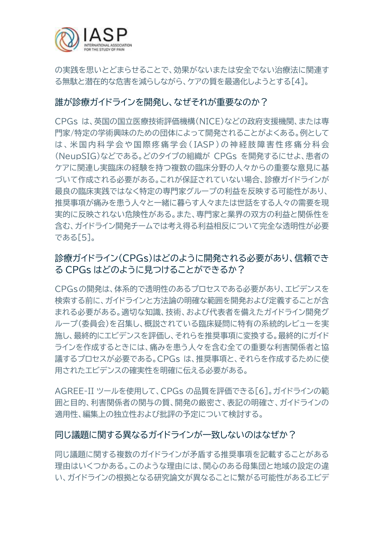

の実践を思いとどまらせることで、効果がないまたは安全でない治療法に関連す る無駄と潜在的な危害を減らしながら、ケアの質を最適化しようとする[4]。

### 誰が診療ガイドラインを開発し、なぜそれが重要なのか?

CPGs は、英国の国立医療技術評価機構(NICE)などの政府支援機関、または専 門家/特定の学術興味のための団体によって開発されることがよくある。例として は、米国内科学会や国際疼痛学会(IASP)の神経肢障害性疼痛分科会 (NeupSIG)などである。どのタイプの組織が CPGs を開発するにせよ、患者の ケアに関連し実臨床の経験を持つ複数の臨床分野の人々からの重要な意見に基 づいて作成される必要がある。これが保証されていない場合、診療ガイドラインが 最良の臨床実践ではなく特定の専門家グループの利益を反映する可能性があり、 推奨事項が痛みを患う人々と一緒に暮らす人々または世話をする人々の需要を現 実的に反映されない危険性がある。また、専門家と業界の双方の利益と関係性を 含む、ガイドライン開発チームでは考え得る利益相反について完全な透明性が必要 である[5]。

# 診療ガイドライン(CPGs)はどのように開発される必要があり、信頼でき る CPGs はどのように見つけることができるか?

CPGsの開発は、体系的で透明性のあるプロセスである必要があり、エビデンスを 検索する前に、ガイドラインと方法論の明確な範囲を開発および定義することが含 まれる必要がある。適切な知識、技術、および代表者を備えたガイドライン開発グ ループ(委員会)を召集し、概説されている臨床疑問に特有の系統的レビューを実 施し、最終的にエビデンスを評価し、それらを推奨事項に変換する。最終的にガイド ラインを作成するときには、痛みを患う人々を含む全ての重要な利害関係者と協 議するプロセスが必要である。CPGs は、推奨事項と、それらを作成するために使 用されたエビデンスの確実性を明確に伝える必要がある。

AGREE-II ツールを使用して、CPGs の品質を評価できる[6]。ガイドラインの範 囲と目的、利害関係者の関与の質、開発の厳密さ、表記の明確さ、ガイドラインの 適用性、編集上の独立性および批評の予定について検討する。

#### 同じ議題に関する異なるガイドラインが一致しないのはなぜか?

同じ議題に関する複数のガイドラインが矛盾する推奨事項を記載することがある 理由はいくつかある。このような理由には、関心のある母集団と地域の設定の違 い、ガイドラインの根拠となる研究論文が異なることに繋がる可能性があるエビデ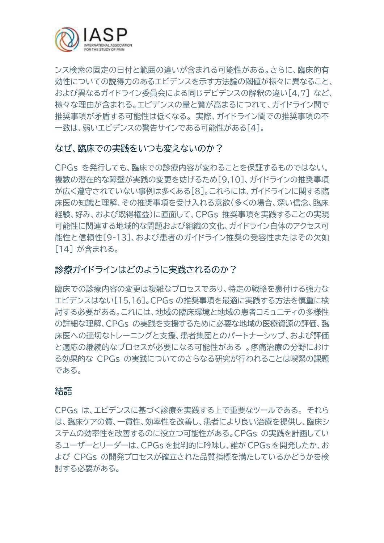

ンス検索の固定の日付と範囲の違いが含まれる可能性がある。さらに、臨床的有 効性についての説得力のあるエビデンスを示す方法論の閾値が様々に異なること、 および異なるガイドライン委員会による同じデビデンスの解釈の違い[4,7] など、 様々な理由が含まれる。エビデンスの量と質が高まるにつれて、ガイドライン間で 推奨事項が矛盾する可能性は低くなる。 実際、ガイドライン間での推奨事項の不 一致は、弱いエビデンスの警告サインである可能性がある[4]。

#### なぜ、臨床での実践をいつも変えないのか?

CPGs を発行しても、臨床での診療内容が変わることを保証するものではない。 複数の潜在的な障壁が実践の変更を妨げるため[9,10]、ガイドラインの推奨事項 が広く遵守されていない事例は多くある[8]。これらには、ガイドラインに関する臨 床医の知識と理解、その推奨事項を受け入れる意欲(多くの場合、深い信念、臨床 経験、好み、および既得権益)に直面して、CPGs 推奨事項を実践することの実現 可能性に関連する地域的な問題および組織の文化、ガイドライン自体のアクセス可 能性と信頼性[9-13]、および患者のガイドライン推奨の受容性またはその欠如 [14] が含まれる。

#### 診療ガイドラインはどのように実践されるのか?

臨床での診療内容の変更は複雑なプロセスであり、特定の戦略を裏付ける強力な エビデンスはない[15,16]。CPGs の推奨事項を最適に実践する方法を慎重に検 討する必要がある。これには、地域の臨床環境と地域の患者コミュニティの多様性 の詳細な理解、CPGs の実践を支援するために必要な地域の医療資源の評価、臨 床医への適切なトレーニングと支援、患者集団とのパートナーシップ、および評価 と適応の継続的なプロセスが必要になる可能性がある 。疼痛治療の分野におけ る効果的な CPGs の実践についてのさらなる研究が行われることは喫緊の課題 である。

#### 結語

CPGs は、エビデンスに基づく診療を実践する上で重要なツールである。 それら は、臨床ケアの質、一貫性、効率性を改善し、患者により良い治療を提供し、臨床シ ステムの効率性を改善するのに役立つ可能性がある。CPGs の実践を計画してい るユーザーとリーダーは、CPGs を批判的に吟味し、誰が CPGs を開発したか、お よび CPGs の開発プロセスが確立された品質指標を満たしているかどうかを検 討する必要がある。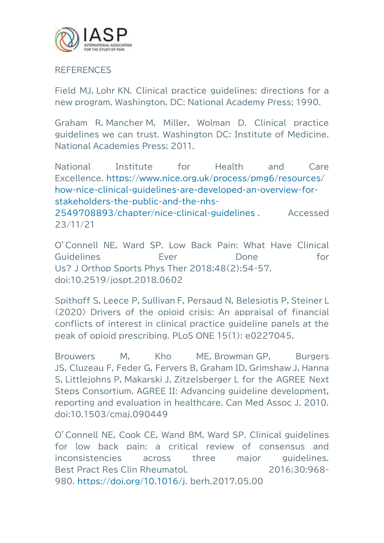

**REFERENCES** 

Field MJ, Lohr KN. Clinical practice guidelines: directions for a new program. Washington, DC: National Academy Press; 1990.

Graham R, Mancher M, Miller, Wolman D. Clinical practice guidelines we can trust. Washington DC: Institute of Medicine. National Academies Press; 2011.

National Institute for Health and Care Excellence. [https://www.nice.org.uk/process/pmg6/resources/](https://www.nice.org.uk/process/pmg6/resources/how-nice-clinical-guidelines-are-developed-an-overview-for-stakeholders-the-public-and-the-nhs-2549708893/chapter/nice-clinical-guidelines) [how-nice-clinical-guidelines-are-developed-an-overview-for](https://www.nice.org.uk/process/pmg6/resources/how-nice-clinical-guidelines-are-developed-an-overview-for-stakeholders-the-public-and-the-nhs-2549708893/chapter/nice-clinical-guidelines)[stakeholders-the-public-and-the-nhs-](https://www.nice.org.uk/process/pmg6/resources/how-nice-clinical-guidelines-are-developed-an-overview-for-stakeholders-the-public-and-the-nhs-2549708893/chapter/nice-clinical-guidelines)

[2549708893/chapter/nice-clinical-guidelines](https://www.nice.org.uk/process/pmg6/resources/how-nice-clinical-guidelines-are-developed-an-overview-for-stakeholders-the-public-and-the-nhs-2549708893/chapter/nice-clinical-guidelines) . Accessed 23/11/21

O'Connell NE, Ward SP. Low Back Pain: What Have Clinical Guidelines Ever Done for Us? J Orthop Sports Phys Ther 2018;48(2):54-57. doi:10.2519/jospt.2018.0602

Spithoff S, Leece P, Sullivan F, Persaud N, Belesiotis P, Steiner L (2020) Drivers of the opioid crisis: An appraisal of financial conflicts of interest in clinical practice guideline panels at the peak of opioid prescribing. PLoS ONE 15(1): e0227045.

Brouwers M, Kho ME, Browman GP, Burgers JS, Cluzeau F, Feder G, Fervers B, Graham ID, Grimshaw J, Hanna S, Littlejohns P, Makarski J, Zitzelsberger L for the AGREE Next Steps Consortium. AGREE II: Advancing guideline development, reporting and evaluation in healthcare. Can Med Assoc J. 2010. doi:10.1503/cmaj.090449

O'Connell NE, Cook CE, Wand BM, Ward SP. Clinical guidelines for low back pain: a critical review of consensus and inconsistencies across three major guidelines. Best Pract Res Clin Rheumatol. 2016;30:968- 980. [https://doi.org/10.1016/j.](https://doi.org/10.1016/j) berh.2017.05.00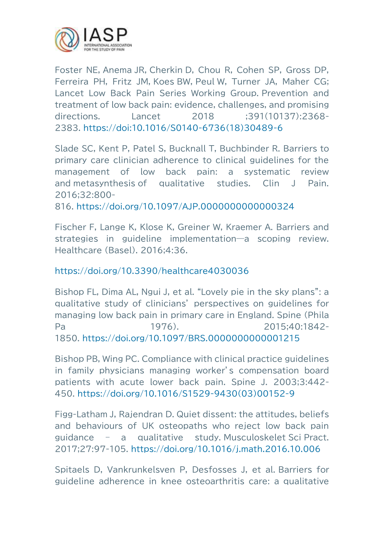

Foster NE, Anema JR, Cherkin D, Chou R, Cohen SP, Gross DP, Ferreira PH, Fritz JM, Koes BW, Peul W, Turner JA, Maher CG; Lancet Low Back Pain Series Working Group. Prevention and treatment of low back pain: evidence, challenges, and promising directions. Lancet 2018 ;391(10137):2368- 2383. [https://doi:10.1016/S0140-6736\(18\)30489-6](https://doi:10.1016/S0140-6736(18)30489-6)

Slade SC, Kent P, Patel S, Bucknall T, Buchbinder R. Barriers to primary care clinician adherence to clinical guidelines for the management of low back pain: a systematic review and metasynthesis of qualitative studies. Clin J Pain. 2016;32:800-

816.<https://doi.org/10.1097/AJP.0000000000000324>

Fischer F, Lange K, Klose K, Greiner W, Kraemer A. Barriers and strategies in guideline implementation—a scoping review. Healthcare (Basel). 2016;4:36.

## <https://doi.org/10.3390/healthcare4030036>

Bishop FL, Dima AL, Ngui J, et al. "Lovely pie in the sky plans": a qualitative study of clinicians' perspectives on guidelines for managing low back pain in primary care in England. Spine (Phila Pa 1976). 2015:40:1842-1850.<https://doi.org/10.1097/BRS.0000000000001215>

Bishop PB, Wing PC. Compliance with clinical practice guidelines in family physicians managing worker's compensation board patients with acute lower back pain. Spine J. 2003;3:442- 450. [https://doi.org/10.1016/S1529-9430\(03\)00152-9](https://doi.org/10.1016/S1529-9430(03)00152-9)

Figg-Latham J, Rajendran D. Quiet dissent: the attitudes, beliefs and behaviours of UK osteopaths who reject low back pain guidance – a qualitative study. Musculoskelet Sci Pract. 2017;27:97-105.<https://doi.org/10.1016/j.math.2016.10.006>

Spitaels D, Vankrunkelsven P, Desfosses J, et al. Barriers for guideline adherence in knee osteoarthritis care: a qualitative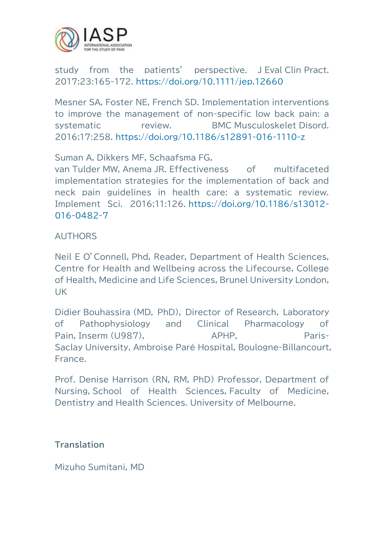

study from the patients' perspective. J Eval Clin Pract. 2017;23:165-172.<https://doi.org/10.1111/jep.12660>

Mesner SA, Foster NE, French SD. Implementation interventions to improve the management of non-specific low back pain: a systematic review. BMC Musculoskelet Disord. 2016;17:258.<https://doi.org/10.1186/s12891-016-1110-z>

Suman A, Dikkers MF, Schaafsma FG,

van Tulder MW, Anema JR. Effectiveness of multifaceted implementation strategies for the implementation of back and neck pain guidelines in health care: a systematic review. Implement Sci. 2016;11:126. [https://doi.org/10.1186/s13012-](https://doi.org/10.1186/s13012-016-0482-7) [016-0482-7](https://doi.org/10.1186/s13012-016-0482-7)

AUTHORS

Neil E O'Connell, Phd, Reader, Department of Health Sciences, Centre for Health and Wellbeing across the Lifecourse, College of Health, Medicine and Life Sciences, Brunel University London, UK

Didier Bouhassira (MD, PhD), Director of Research, Laboratory of Pathophysiology and Clinical Pharmacology of Pain, Inserm (U987), APHP, Paris-Saclay University, Ambroise Paré Hospital, Boulogne-Billancourt, France.

Prof. Denise Harrison (RN, RM, PhD) Professor, Department of Nursing, School of Health Sciences, Faculty of Medicine, Dentistry and Health Sciences. University of Melbourne.

**Translation** 

Mizuho Sumitani, MD